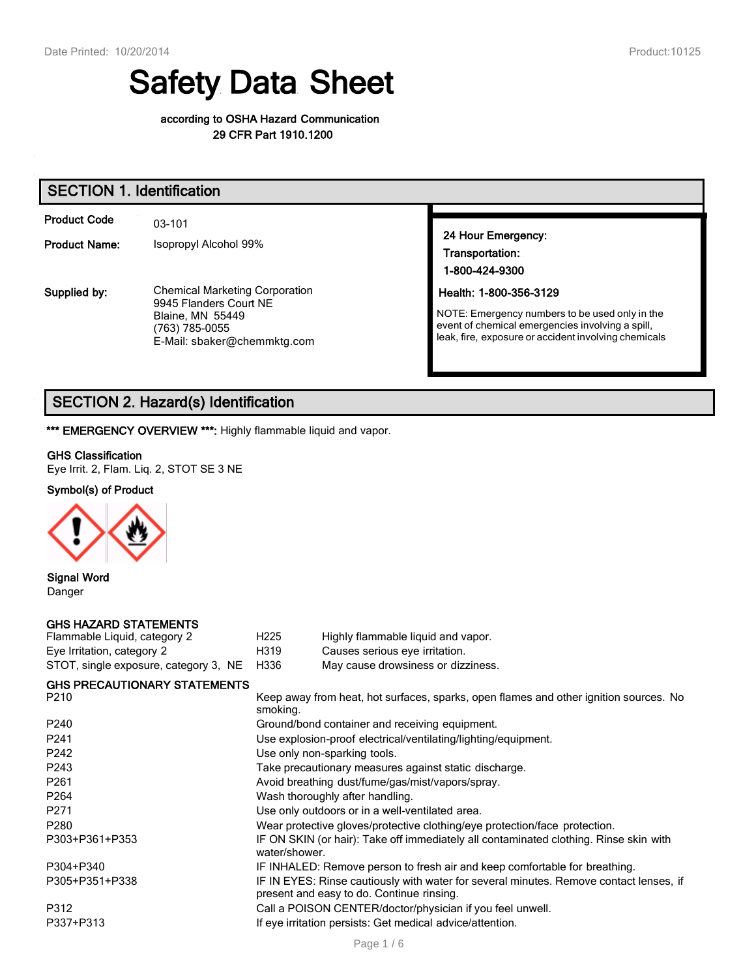# Safety Data Sheet

#### according to OSHA Hazard Communication 29 CFR Part 1910.1200

| <b>SECTION 1. Identification</b>            |                                                                                                                                             |                                                                                                                                                                                      |  |  |
|---------------------------------------------|---------------------------------------------------------------------------------------------------------------------------------------------|--------------------------------------------------------------------------------------------------------------------------------------------------------------------------------------|--|--|
| <b>Product Code</b><br><b>Product Name:</b> | 03-101<br>Isopropyl Alcohol 99%                                                                                                             | 24 Hour Emergency:<br>Transportation:<br>1-800-424-9300                                                                                                                              |  |  |
| Supplied by:                                | <b>Chemical Marketing Corporation</b><br>9945 Flanders Court NE<br><b>Blaine, MN 55449</b><br>(763) 785-0055<br>E-Mail: sbaker@chemmktg.com | Health: 1-800-356-3129<br>NOTE: Emergency numbers to be used only in the<br>event of chemical emergencies involving a spill,<br>leak, fire, exposure or accident involving chemicals |  |  |

## SECTION 2. Hazard(s) Identification

\*\*\* EMERGENCY OVERVIEW \*\*\*: Highly flammable liquid and vapor.

#### GHS Classification

Eye Irrit. 2, Flam. Liq. 2, STOT SE 3 NE

#### Symbol(s) of Product



## Signal Word

Danger

#### GHS HAZARD STATEMENTS

| Flammable Liquid, category 2          | H <sub>225</sub> | Highly flammable liquid and vapor. |
|---------------------------------------|------------------|------------------------------------|
| Eye Irritation, category 2            | H319             | Causes serious eye irritation.     |
| STOT, single exposure, category 3, NE | H336             | May cause drowsiness or dizziness. |

#### GHS PRECAUTIONARY STATEMENTS

| P <sub>210</sub> | Keep away from heat, hot surfaces, sparks, open flames and other ignition sources. No<br>smoking.                                   |
|------------------|-------------------------------------------------------------------------------------------------------------------------------------|
| P <sub>240</sub> | Ground/bond container and receiving equipment.                                                                                      |
| P <sub>241</sub> | Use explosion-proof electrical/ventilating/lighting/equipment.                                                                      |
| P242             | Use only non-sparking tools.                                                                                                        |
| P <sub>243</sub> | Take precautionary measures against static discharge.                                                                               |
| P <sub>261</sub> | Avoid breathing dust/fume/gas/mist/vapors/spray.                                                                                    |
| P <sub>264</sub> | Wash thoroughly after handling.                                                                                                     |
| P271             | Use only outdoors or in a well-ventilated area.                                                                                     |
| P <sub>280</sub> | Wear protective gloves/protective clothing/eye protection/face protection.                                                          |
| P303+P361+P353   | IF ON SKIN (or hair): Take off immediately all contaminated clothing. Rinse skin with<br>water/shower.                              |
| P304+P340        | IF INHALED: Remove person to fresh air and keep comfortable for breathing.                                                          |
| P305+P351+P338   | IF IN EYES: Rinse cautiously with water for several minutes. Remove contact lenses, if<br>present and easy to do. Continue rinsing. |
| P312             | Call a POISON CENTER/doctor/physician if you feel unwell.                                                                           |
| P337+P313        | If eye irritation persists: Get medical advice/attention.                                                                           |
|                  |                                                                                                                                     |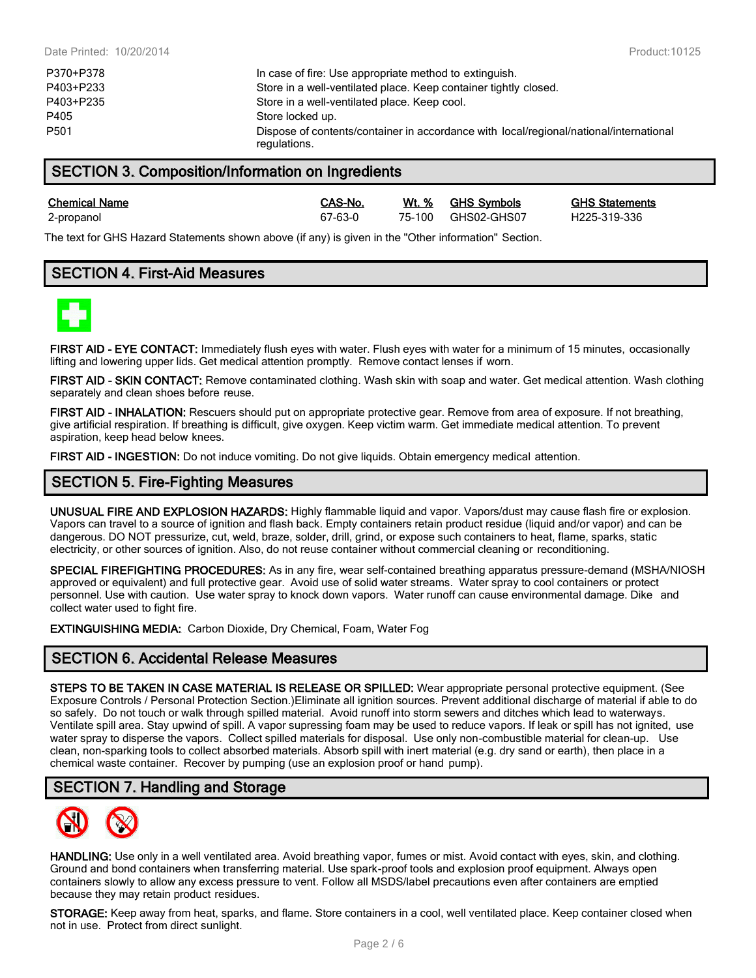| P370+P378 | In case of fire: Use appropriate method to extinguish.                                                 |
|-----------|--------------------------------------------------------------------------------------------------------|
| P403+P233 | Store in a well-ventilated place. Keep container tightly closed.                                       |
| P403+P235 | Store in a well-ventilated place. Keep cool.                                                           |
| P405      | Store locked up.                                                                                       |
| P501      | Dispose of contents/container in accordance with local/regional/national/international<br>regulations. |

## SECTION 3. Composition/Information on Ingredients

Chemical Name CAS-No. Wt. % GHS Symbols GHS Statements 2-propanol 67-63-0 75-100 GHS02-GHS07 H225-319-336

The text for GHS Hazard Statements shown above (if any) is given in the "Other information" Section.

## SECTION 4. First-Aid Measures



FIRST AID - EYE CONTACT: Immediately flush eves with water. Flush eves with water for a minimum of 15 minutes, occasionally lifting and lowering upper lids. Get medical attention promptly. Remove contact lenses if worn.

FIRST AID - SKIN CONTACT: Remove contaminated clothing. Wash skin with soap and water. Get medical attention. Wash clothing separately and clean shoes before reuse.

FIRST AID - INHALATION: Rescuers should put on appropriate protective gear. Remove from area of exposure. If not breathing, give artificial respiration. If breathing is difficult, give oxygen. Keep victim warm. Get immediate medical attention. To prevent aspiration, keep head below knees.

FIRST AID - INGESTION: Do not induce vomiting. Do not give liquids. Obtain emergency medical attention.

## SECTION 5. Fire-Fighting Measures

UNUSUAL FIRE AND EXPLOSION HAZARDS: Highly flammable liquid and vapor. Vapors/dust may cause flash fire or explosion. Vapors can travel to a source of ignition and flash back. Empty containers retain product residue (liquid and/or vapor) and can be dangerous. DO NOT pressurize, cut, weld, braze, solder, drill, grind, or expose such containers to heat, flame, sparks, static electricity, or other sources of ignition. Also, do not reuse container without commercial cleaning or reconditioning.

SPECIAL FIREFIGHTING PROCEDURES: As in any fire, wear self-contained breathing apparatus pressure-demand (MSHA/NIOSH approved or equivalent) and full protective gear. Avoid use of solid water streams. Water spray to cool containers or protect personnel. Use with caution. Use water spray to knock down vapors. Water runoff can cause environmental damage. Dike and collect water used to fight fire.

EXTINGUISHING MEDIA: Carbon Dioxide, Dry Chemical, Foam, Water Fog

## SECTION 6. Accidental Release Measures

STEPS TO BE TAKEN IN CASE MATERIAL IS RELEASE OR SPILLED: Wear appropriate personal protective equipment. (See Exposure Controls / Personal Protection Section.)Eliminate all ignition sources. Prevent additional discharge of material if able to do so safely. Do not touch or walk through spilled material. Avoid runoff into storm sewers and ditches which lead to waterways. Ventilate spill area. Stay upwind of spill. A vapor supressing foam may be used to reduce vapors. If leak or spill has not ignited, use water spray to disperse the vapors. Collect spilled materials for disposal. Use only non-combustible material for clean-up. Use clean, non-sparking tools to collect absorbed materials. Absorb spill with inert material (e.g. dry sand or earth), then place in a chemical waste container. Recover by pumping (use an explosion proof or hand pump).

## SECTION 7. Handling and Storage



HANDLING: Use only in a well ventilated area. Avoid breathing vapor, fumes or mist. Avoid contact with eyes, skin, and clothing. Ground and bond containers when transferring material. Use spark-proof tools and explosion proof equipment. Always open containers slowly to allow any excess pressure to vent. Follow all MSDS/label precautions even after containers are emptied because they may retain product residues.

STORAGE: Keep away from heat, sparks, and flame. Store containers in a cool, well ventilated place. Keep container closed when not in use. Protect from direct sunlight.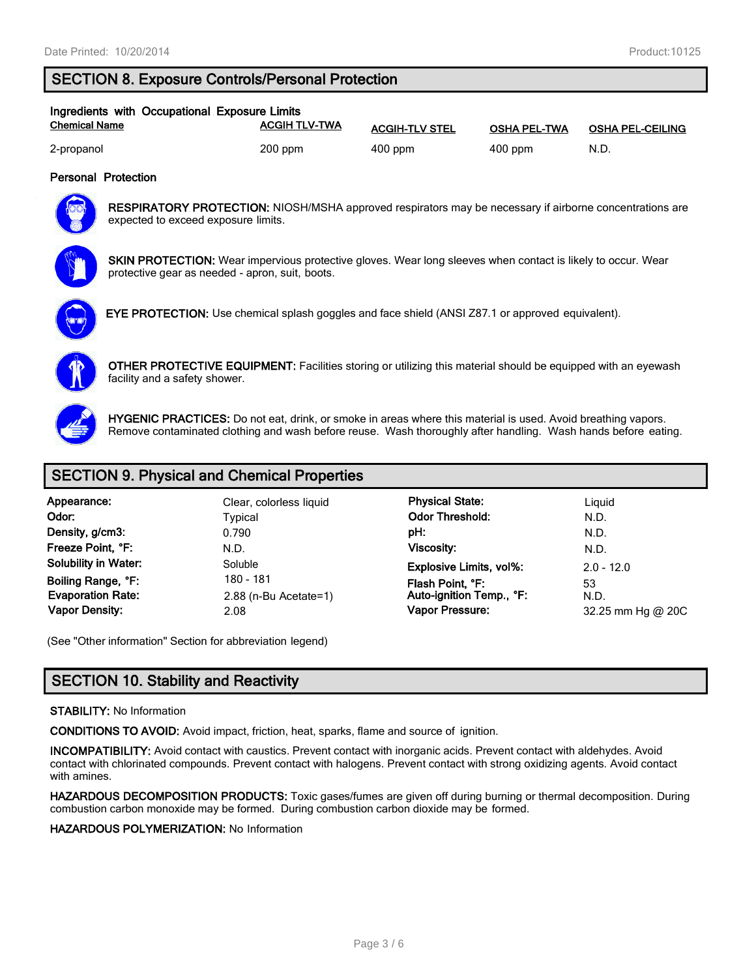## SECTION 8. Exposure Controls/Personal Protection

| Ingredients with Occupational Exposure Limits |                      |                       |                     |                         |
|-----------------------------------------------|----------------------|-----------------------|---------------------|-------------------------|
| <b>Chemical Name</b>                          | <b>ACGIH TLV-TWA</b> | <b>ACGIH-TLV STEL</b> | <b>OSHA PEL-TWA</b> | <b>OSHA PEL-CEILING</b> |
| 2-propanol                                    | $200$ ppm            | $400$ ppm             | $400$ ppm           | N.D.                    |

#### Personal Protection



RESPIRATORY PROTECTION: NIOSH/MSHA approved respirators may be necessary if airborne concentrations are expected to exceed exposure limits.



SKIN PROTECTION: Wear impervious protective gloves. Wear long sleeves when contact is likely to occur. Wear protective gear as needed - apron, suit, boots.



EYE PROTECTION: Use chemical splash goggles and face shield (ANSI Z87.1 or approved equivalent).



OTHER PROTECTIVE EQUIPMENT: Facilities storing or utilizing this material should be equipped with an eyewash facility and a safety shower.



HYGENIC PRACTICES: Do not eat, drink, or smoke in areas where this material is used. Avoid breathing vapors. Remove contaminated clothing and wash before reuse. Wash thoroughly after handling. Wash hands before eating.

## SECTION 9. Physical and Chemical Properties

| Appearance:                 | Clear, colorles |  |  |
|-----------------------------|-----------------|--|--|
| Odor:                       | <b>Typical</b>  |  |  |
| Density, g/cm3:             | 0.790           |  |  |
| Freeze Point, °F:           | N.D.            |  |  |
| <b>Solubility in Water:</b> | Soluble         |  |  |
| Boiling Range, °F:          | 180 - 181       |  |  |
| <b>Evaporation Rate:</b>    | 2.88 (n-Bu Ac   |  |  |
| Vanor Daneity:              | າ ∩o            |  |  |

Soliquid **Physical State:** Liquid Physical State: Odor Threshold: N.D. pH: Viscosity: N.D. N.D. Explosive Limits, vol%: 2.0 - 12.0 Boint, °F: 180 - 180 Flash Point, °F: 180 Flash Point, °F:<br>180 Auto-ignition Temp., °F: 180 N.D. Auto-ignition Temp., °F: apor Density: **2.08** 2.08 Compared the Vapor Pressure: **2.08** Compared the Vapor Pressure: **2.08** Compared the Magnetic Music Service 200

(See "Other information" Section for abbreviation legend)

## SECTION 10. Stability and Reactivity

#### STABILITY: No Information

CONDITIONS TO AVOID: Avoid impact, friction, heat, sparks, flame and source of ignition.

INCOMPATIBILITY: Avoid contact with caustics. Prevent contact with inorganic acids. Prevent contact with aldehydes. Avoid contact with chlorinated compounds. Prevent contact with halogens. Prevent contact with strong oxidizing agents. Avoid contact with amines.

HAZARDOUS DECOMPOSITION PRODUCTS: Toxic gases/fumes are given off during burning or thermal decomposition. During combustion carbon monoxide may be formed. During combustion carbon dioxide may be formed.

HAZARDOUS POLYMERIZATION: No Information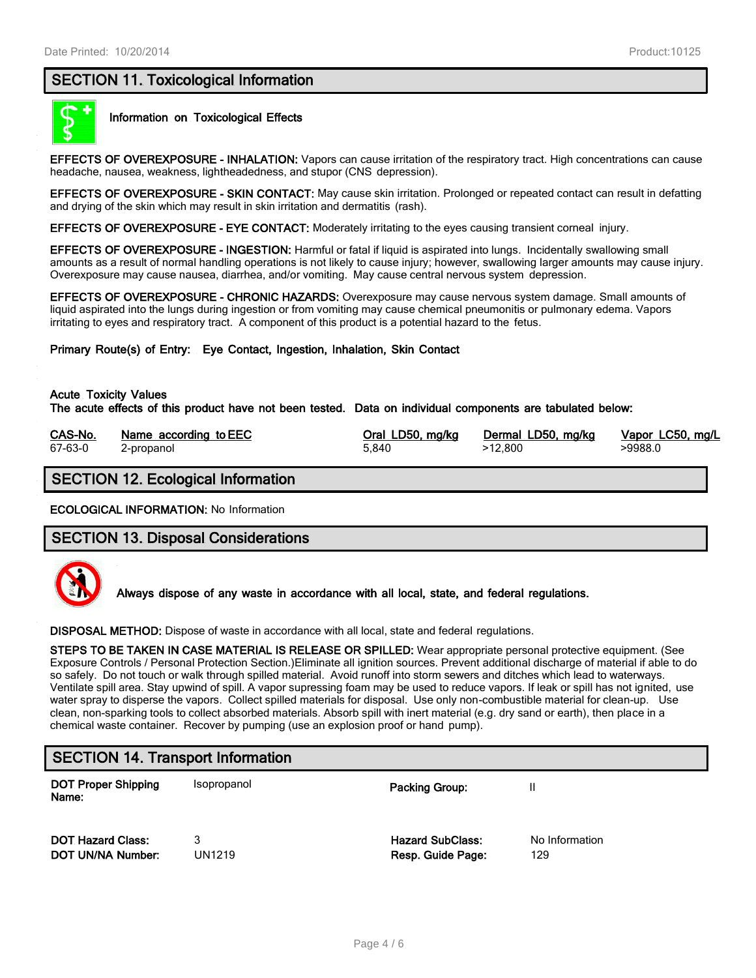## SECTION 11. Toxicological Information



#### Information on Toxicological Effects

EFFECTS OF OVEREXPOSURE - INHALATION: Vapors can cause irritation of the respiratory tract. High concentrations can cause headache, nausea, weakness, lightheadedness, and stupor (CNS depression).

EFFECTS OF OVEREXPOSURE - SKIN CONTACT: May cause skin irritation. Prolonged or repeated contact can result in defatting and drying of the skin which may result in skin irritation and dermatitis (rash).

EFFECTS OF OVEREXPOSURE - EYE CONTACT: Moderately irritating to the eyes causing transient corneal injury.

EFFECTS OF OVEREXPOSURE - INGESTION: Harmful or fatal if liquid is aspirated into lungs. Incidentally swallowing small amounts as a result of normal handling operations is not likely to cause injury; however, swallowing larger amounts may cause injury. Overexposure may cause nausea, diarrhea, and/or vomiting. May cause central nervous system depression.

EFFECTS OF OVEREXPOSURE - CHRONIC HAZARDS: Overexposure may cause nervous system damage. Small amounts of liquid aspirated into the lungs during ingestion or from vomiting may cause chemical pneumonitis or pulmonary edema. Vapors irritating to eyes and respiratory tract. A component of this product is a potential hazard to the fetus.

Primary Route(s) of Entry: Eye Contact, Ingestion, Inhalation, Skin Contact

#### Acute Toxicity Values

The acute effects of this product have not been tested. Data on individual components are tabulated below:

| CAS-No. | Name according to EEC | Oral LD50, mg/kg | Dermal LD50, mg/kg | Vapor LC50, mg/L |
|---------|-----------------------|------------------|--------------------|------------------|
| 67-63-0 | 2-propanol            | 5.840            | >12.800            | >9988.0          |

## SECTION 12. Ecological Information

ECOLOGICAL INFORMATION: No Information

#### SECTION 13. Disposal Considerations



Always dispose of any waste in accordance with all local, state, and federal regulations.

DISPOSAL METHOD: Dispose of waste in accordance with all local, state and federal regulations.

STEPS TO BE TAKEN IN CASE MATERIAL IS RELEASE OR SPILLED: Wear appropriate personal protective equipment. (See Exposure Controls / Personal Protection Section.)Eliminate all ignition sources. Prevent additional discharge of material if able to do so safely. Do not touch or walk through spilled material. Avoid runoff into storm sewers and ditches which lead to waterways. Ventilate spill area. Stay upwind of spill. A vapor supressing foam may be used to reduce vapors. If leak or spill has not ignited, use water spray to disperse the vapors. Collect spilled materials for disposal. Use only non-combustible material for clean-up. Use clean, non-sparking tools to collect absorbed materials. Absorb spill with inert material (e.g. dry sand or earth), then place in a chemical waste container. Recover by pumping (use an explosion proof or hand pump).

## SECTION 14. Transport Information

DOT Proper Shipping Name: Isopropanol **Packing Group:** II DOT Hazard Class: 23 and 2012 13 Hazard SubClass: No Information **DOT UN/NA Number:** UN1219 **Resp. Guide Page:** 129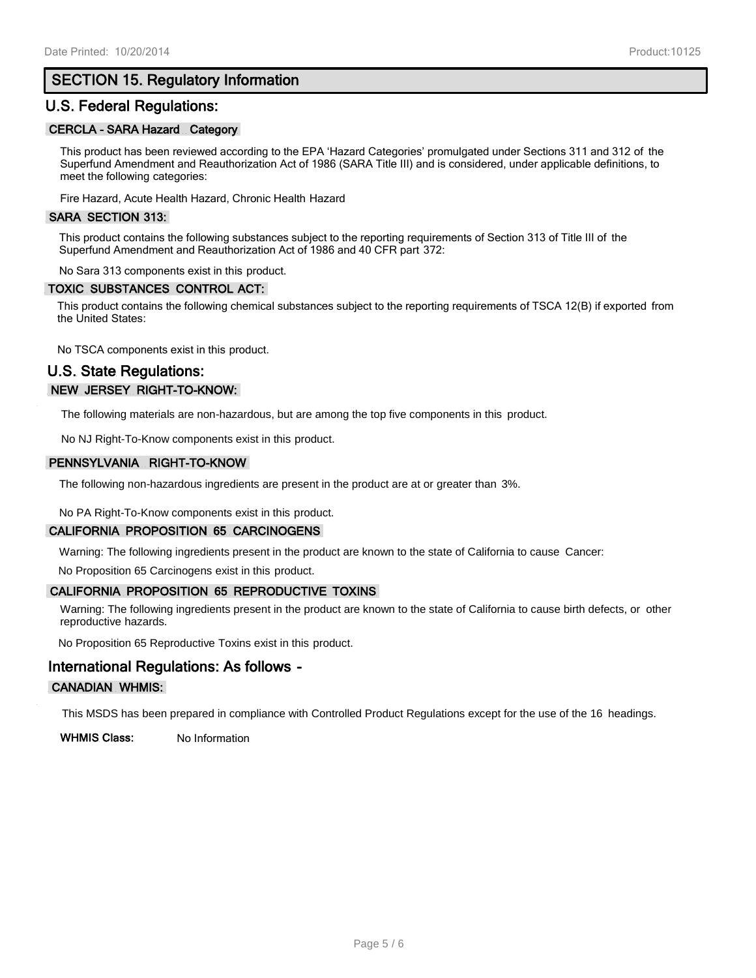## SECTION 15. Regulatory Information

## U.S. Federal Regulations:

#### CERCLA - SARA Hazard Category

This product has been reviewed according to the EPA 'Hazard Categories' promulgated under Sections 311 and 312 of the Superfund Amendment and Reauthorization Act of 1986 (SARA Title III) and is considered, under applicable definitions, to meet the following categories:

Fire Hazard, Acute Health Hazard, Chronic Health Hazard

#### SARA SECTION 313:

This product contains the following substances subject to the reporting requirements of Section 313 of Title III of the Superfund Amendment and Reauthorization Act of 1986 and 40 CFR part 372:

No Sara 313 components exist in this product.

#### TOXIC SUBSTANCES CONTROL ACT:

This product contains the following chemical substances subject to the reporting requirements of TSCA 12(B) if exported from the United States:

No TSCA components exist in this product.

## U.S. State Regulations: NEW JERSEY RIGHT-TO-KNOW:

The following materials are non-hazardous, but are among the top five components in this product.

No NJ Right-To-Know components exist in this product.

#### PENNSYLVANIA RIGHT-TO-KNOW

The following non-hazardous ingredients are present in the product are at or greater than 3%.

No PA Right-To-Know components exist in this product.

#### CALIFORNIA PROPOSITION 65 CARCINOGENS

Warning: The following ingredients present in the product are known to the state of California to cause Cancer:

No Proposition 65 Carcinogens exist in this product.

#### CALIFORNIA PROPOSITION 65 REPRODUCTIVE TOXINS

Warning: The following ingredients present in the product are known to the state of California to cause birth defects, or other reproductive hazards.

No Proposition 65 Reproductive Toxins exist in this product.

## International Regulations: As follows -

#### CANADIAN WHMIS:

This MSDS has been prepared in compliance with Controlled Product Regulations except for the use of the 16 headings.

WHMIS Class: No Information